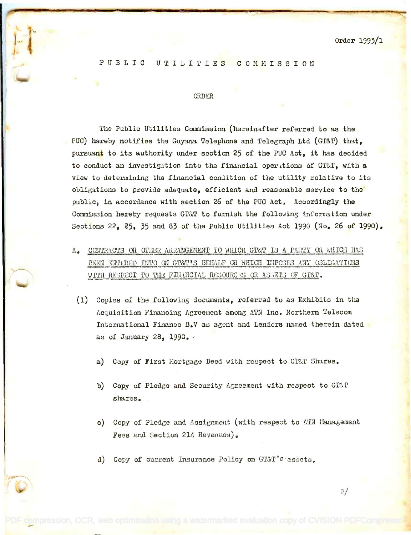Order 1993/1

PUBLIC UTILITIES COMMISSION

## **ORDER**

The Public Utilities Commission (hereinafter referred to as the PUC) hereby notifies the Guyana Telephone and Telegraph Ltd (GT&T) that, pursuant to its authority under section 25 of the PUC Act, it has decided to conduct an investigation into the financial operations of GT&T, with a view to determining the financial condition of the utility relative to its obligations to provide adequate, efficient and reasonable service to the public, in accordance with section 26 of the PUC Act. Accordingly the Commission hereby requests GT&T to furnish the following information under Sections 22, 25, 35 and 83 of the Public Utilities Act 1990 (No. 26 of 1990).

A. CONTRACTS OR OTHER ARRANGEMENT TO WHICH GT&T IS A PARTY OR WHICH HAS BEEN ENTERED INTO ON GT&T'S BEHALF OR WHICH IMPOSES ANY OBLIGATIONS WITH RESPECT TO THE FINANCIAL RESOURCES OR ASSETS OF GT&T.

the second control of the second control of the second control of the second control of the second control of the second control of the second control of the second control of the second control of the second control of th

ł.,

-.  $\cdot$ 

 $\mathbb{R}^2$ 

- (1) Copies of the following documents, referred to as Exhibits in the Acquisition Financing Agreement among ATN Inc. Northern Telecom International Finance B.V as agent and Lenders named therein dated as of January 28, 1990.
	- a) Copy of First Mortgage Deed with respect to GT&T Shares.
	- b) Copy of Pledge and Security Agreement with respect to GT&T b) Copy of Pledge and Security Agreement with respect to GT&T shares. shares.
	- o) Copy of Pledge and Assignment (with respect to ATN Management Fees and Section 214 Revenues). Fees and Section 214 Revenues).
	- d) Copy of current Insurance Policy on GT&T's assets.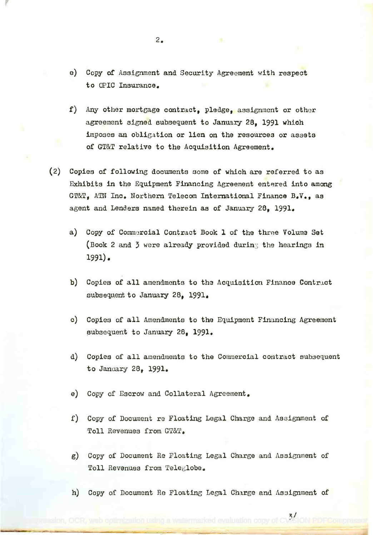- e) Copy of Assignment and Security Agreement with respect e) Copy of Assignment and Security Agreement with respeot to OPIC Insurance.
- f) Any other mortgage contract, pledge, assignment or other agreement signed subsequent to January 28, 1991 which imposes an obligation or lien on the resources or assets  $\blacksquare$ of GT&T relative to the Acquisition Agreement. of GT&T relative to the Acquisition Agreement.
- (2) Copies of following documents some of which are referred to as (2) Copies of following documents some of which are referred to as Exhibits in the Equipment Financing Agreement entered into among Exhibits in the Equipment Financing Agreement entered into among GT &T, ATN Inc. Northern Telecom International Finance B.V., as GT&T, ATN Inc. Northern Telecom International Finance B.V., as agent and Lenders named therein as of January 28, 1991.
	- a) Copy of Commercial Contract Book 1 of the three Volume Set a) Copy of Commarcia1 Contract Book 1 of the three Volume Set (Book 2 and 3 were already provided during the hearings in 1991). 1991).
	- b) Copies of all amendments to the Acquisition Finance Contract subsequent to January 28, 1991. subsequent to January 28, 1991.
	- o) Copies of all Amendments to the Equipment Financing Agreement 0) Copies of all Amendments to the Equipment Financing Agreement subsequent to January 28, 1991. subsequent to January 28, 1991.
	- d) Copies of all amendments to the Commercial contract subsequent d) Copies of all amendments to the Commercial contraot subsequent to January 28, 1991. to January 28, 1991.
	- e) Copy of Escrow and Collateral Agreement.
	- f) Copy of Document re Floating Legal Charge and Assignment of f) Copy of Document re Floating Legal Charge and Assignment of Toll Revenues from GT&T. Toll Revenues from GT&T.
	- g) Copy of Document Re Floating Legal Charge and Assignment of g) Copy of Document Re Floating Legal Charge and Assignment of Toll Revenues from Teleglobe. Toll Revenues from Teleglobe.
	- h) Copy of Document Re Floating Legal Charge and Assignment of

[PDF compression, OCR, web optimization using a watermarked evaluation copy of CVISION PDFCompressor](http://www.cvisiontech.com)

24 ON PDE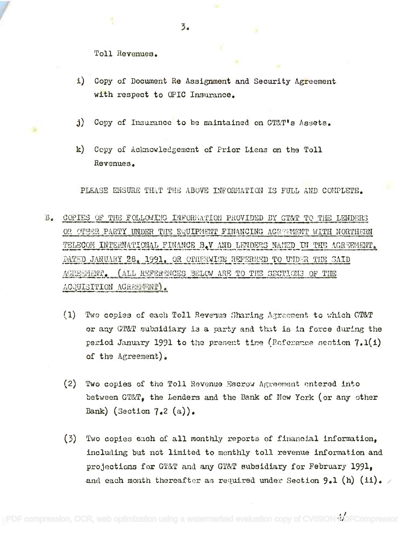i) Copy of Document Re Assignment and Security Agreement with respect to  $\textcircled{pIC}}$  Insurance.

3.

- j) Copy of Insurance to be maintained on GT&T's Assets.
- k) Copy of Acknowledgement of Prior Liens an the Toll k) Copy of Acknowledgement of Prior Liens on the Toll Revenues. Revenues.

PLEASE ENSURE THAT THE ABOVE INFORMATION IS FULL AND COMPLETE.

- B. COPIES OF THE FOLLOWING INFORMATION PROVIDED BY GT&T TO THE LENDERS OR OTHER PARTY UNDER THE EQUIPMENT FINANCING AGREEMENT WITH NORTHERN TELECOM INTERNATIONAL FINANCE B.V AND LENDERS NAMED IN THE AGREEMENT. DATED JANUARY 28, 1991, OR OPHERWISE REFERRED TO UNDER THE SAID ACRESMENT. (ALL REFERSNCES BELOW ARE TO THE SECTIONS OF THE  $\Lambda$ CQUISITION  $\Lambda$ GREEITENT).
	- (1) Two copies of each Toll Revenus Sharing Agreement to which GT&T or any GT&T subsidiary is a party and that is in force during the period January 1991 to the present time (Reference section  $7.1(1)$ of the Agreement). of the Agreement).
	- (2) Two copies of the Toll Revenue Escrow Agreement entered into between GT&T, the Lenders and the Bank of New York (or any other Bank) (Section  $7.2$  (a)).
	- $(3)$  Two copies each of all monthly reports of financial information, including but not limited to monthly toll revenue information and projections for GT&T and any GT&T subsidiary for February 1991, projections for GT&T and any GT&T Bubsidiary for February 1991. and each month thereafter as required under Section  $9.1$  (h) (ii). /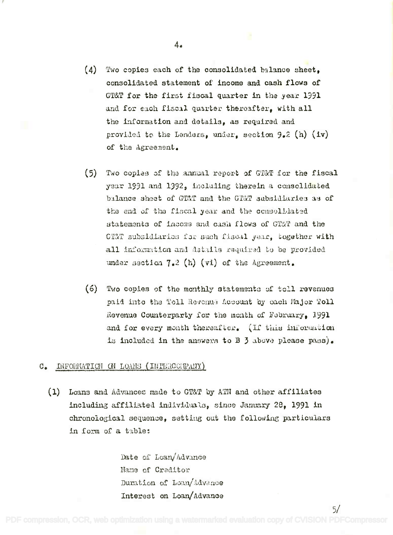- $(4)$  Two copies each of the consolidated balance sheet, consolidated statement of income and cash flows of consolidated statement of income and cash flows of GT&T for the first fiscal quarter in the year 1991 and for each fiscal quarter thereafter, with all the information and details, as required and provided to the Lenders, under, section 9.2 (h) (iv) of the Agreement.
- (5) Two copies of the annual report of GT&T for the fiscal year 1991 and 1992, including therein a consolidated balance sheet of GT&T and the GT&T subsidiaries as of the end of the fiscal year and the consolidated statements of income and cash flows of GT&T and the GT&T subsidiarios for such fiscal year, together with all information and datalls required to be provided under section 7.2 (h) (vi) of the Agreement.
- (6) Two copies of the monthly statements of toll revenues paid into the Toll Revenue Account by each Major Toll Revenue Counterparty for the month of February, 1991 and for every month thereafter. (If this information is included in the answers to B  $3$  above please pass).

## C. INFORMATION ON LOANS (INTERCCREANY)

 $(1)$  Loans and Advances made to GT&T by ATM and other affiliates including affiliated individuals, since January 28, 1991 in chronological sequence, setting out the following particulars in form of a table:

> Date of Loan/Advance Name of Creditor Bane of Creditor Duration of Loan/Advance Interest on Loan/Advance Interest on Loan/Advance

4.

5/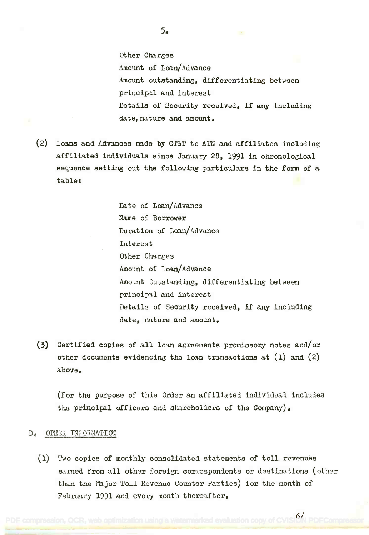Other Charges other Charges Amount of Loan/Advance Amount of Loan/Advance  $\texttt{Amount}$  outstanding, differentiating between principal and interest principal and interest Details of Security received, if any including Details of Security received, if any inoluding  $\texttt{date}, \texttt{nature} \texttt{ and} \texttt{amount}.$ 

(2) Loans and Advances made by GT&T to ATN and affiliates including (2) Loans and Advanoes made by GT&T to ATN and affiliates including affiliated individuals since January 28, 1991 in chronological affiliated individuals since January 28, 1991 in ohronological sequence setting out the following particulars in the form of a sequenoe setting out the following particulars in the form of a table: table.

> Date of Loan/Advance Name of Borrower Name of Borrower Duration of Loan/Advance Duration of Loan/Advanoe Interest Interest Other Charges other Charges Amount of Loan/Advance Amount Outstanding, differentiating between Amount Outstanding, differentiating between principal and interest. principal and interest. Details of Security received, if any including Details of Security received, if any including date, nature and amount. date, nature and amonnt.

(3) Certified copies of all loan agreements promissory notes and/or (3) Certified copies of all loan agreements promissory notes and/or other documents evidencing the loan transactions at (1) and (2) other documents evidencing the loan transactions at (1) and (2) above. above.

(For the purpose of this Order an affiliated individual includes (For the purpose of this Order an affiliated individual includes the principal officers and shareholders of the Company). the principal officers and shareholders of the Company).

## D. OTHER INFORMATION

(1) Two copies of monthly consolidated statements of toll revenues (1) Two copies of monthly consolidated statements of toll revenues earned from all other foreign correspondents or destinations (other earned from all other foreign correspondents or destinations (other than the Major Toll Revenue Counter Parties) for the month of February 1991 and every month thereafter.

[PDF compression, OCR, web optimization using a watermarked evaluation copy of CVISION PDFCompressor](http://www.cvisiontech.com)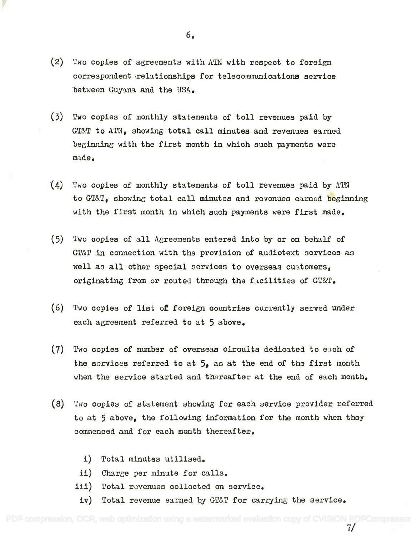- (2) Two copies of agreements with ATN with respect to foreign (2) Two copies of agreements with ATN with respeot to foreign correspondent relationships for telecommunications service correspondent irelationships for telecommunications service between Guyana and the USA. between Guyana and the USA.
- (3) Two copies of monthly statements of toll revenues paid by (3) Two copies of monthly statements of toll revenues paid by  $\texttt{GT\&T}$  to  $\texttt{ATN}_{\bullet}$  showing total call minutes and revenues earned beginning with the first month in which such payments were beginning with the first month in which suoh p3.yments were made. made.
- $(4)$  Two copies of monthly statements of toll revenues paid by ATN to GT&T, showing total call minutes and revenues earned beginning with the first month in which such payments were first made. with the first month in which such payments were first made.
- $(5)$  Two copies of all Agreements entered into by or on behalf of GT&T in connection with the provision of audiotext services as GT&T in connection with the provision of audiotext services as well as all other special services to overseas customers, well as all other special services to overseas customers, originating from or routed through the facilities of GT&T.
- (6) Two copies of list of foreign countries currently served under (6) Two copies of list of foreign oountries currently served under each agreement referred to at 5 above. each agreement referred to at 5 above.
- $(7)$  Two copies of number of overseas circuits dedicated to each of the services referred to at 5, as at the end of the first month the services referred to at **5,** as at the end of the first month when the service started and thereafter at the end of each month. when the service started and thereafter at the end of each month.
- (8) Two copies of statement showing for each service provider referred (8) Two oopies of statement showing for each service provider referred to at 5 above, the following information for the month when they to at 5 above, the following information for the month when they commenced and for each month thereafter. commenoed and for each month thereafter.
	- i) Total minutes utilised. i) Total minutes utilised.
	- ii) Charge per minute for calls. ii) Charge per minute for calls.
	- ill) Total revenues collected on service. iii) Total revenues collected on service.
	- iv) Total revenue earned by GT&T for carrying the service.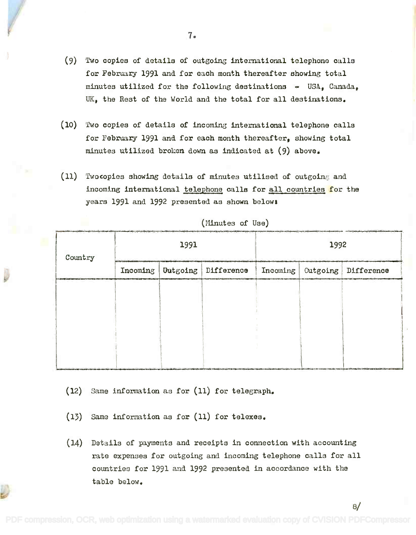- (9) Two copies of details of outgoing international telephone calls (9) Two copies of details of outgoing international telephone calls for February 1991 and for each month thereafter showing total for February 1991 and for each month thereafter showing total minutes utilized for the following destinations USA, Canada, minutes utilized for the following destinations - USA, Canada, UK, the Rest of the World and the total for all destinations. UK, the Rest of the World and the total for all destinations.
- (10) Two copies of details of incoming international telephone calls (10) 'fwocopies of details of incoming international telephone calls for February 1991 and for each month thereafter, showing total for February 1991 and for each month thereafter, showing total minutes utilized broken down as indicated at (9) above. minutes utilized broken down as indicated at (9) above.
- (11) Twocopies showing details of minutes utilised of outgoing and incoming international telephone calls for all countries for the incoming international telephone calls for all countries for the years 1991 and 1992 presented as shown below\* years 1991 and 1992 presented as shown belows

| Country | 1991 |  |                                  | 1992     |          |            |  |
|---------|------|--|----------------------------------|----------|----------|------------|--|
|         |      |  | Incoming   Untgoing   Difference | Incoming | Outgoing | Difference |  |
|         |      |  |                                  |          |          |            |  |
|         |      |  |                                  |          |          |            |  |
|         |      |  |                                  |          |          |            |  |
|         |      |  |                                  |          |          |            |  |

(Minutes of Use)

- (12) Same information as for (11) for telegraph.
- (13) Same information as for (11) for telexes.
- (14) Details of payments and receipts in connection with accounting (14) Details of payments and receipts in connection with accounting rate expenses for outgoing and incoming telephone calls for all countries for 1991 and 1992 presented in accordance with the oountries for 1991 and 1992 presented in accordance with the table below. table below.